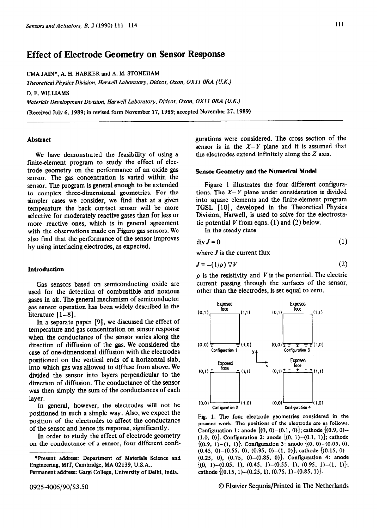# **Effect of Electrode Geometry on Sensor Response**

## UMA JAIN\*, A. H. HARKER and A. M. STONEHAM

*Theoretical Physics Division, Harwell Laboratory, Didcot, Oxon, OX11 ORA (U.K.)* 

D. E. WILLIAMS

*Materials Development Division, Harwell Laboratory, Didcot, Oxon, OX11 ORA (U.K.)* 

(Received July 6, 1989; in revised form November 17, 1989; accepted November 27, 1989)

### **Abstract**

We have demonstrated the feasibility of using a finite-element program to study the effect of electrode geometry on the performance of an oxide gas sensor. The gas concentration is varied within the sensor. The program is general enough to be extended to complex three-dimensional geometries. For the simpler cases we consider, we find that at a given temperature the back contact sensor will be more selective for moderately reactive gases than for less or more reactive ones, which is in general agreement with the observations made on Figaro gas sensors. We also find that the performance of the sensor improves by using interlacing electrodes, as expected.

## **Introduction**

Gas sensors based on semiconducting oxide are used for the detection of combustible and noxious gases in air. The general mechanism of semiconductor gas sensor operation has been widely described in the literature [1-8].

In a separate paper [9], we discussed the effect of temperature and gas concentration on sensor response when the conductance of the sensor varies along the direction of diffusion of the gas. We considered the case of one-dimensional diffusion with the electrodes positioned on the vertical ends of a horizontal slab, into which gas was allowed to diffuse from above. We divided the sensor into layers perpendicular to the direction of diffusion. The conductance of the sensor was then simply the sum of the conductances of each layer.

In general, however, the electrodes will not be positioned in such a simple way. Also, we expect the position of the electrodes to affect the conductance of the sensor and hence its response, significantly.

In order to study the effect of electrode geometry on the conductance of a sensor, four different configurations were considered. The cross section of the sensor is in the  $X-Y$  plane and it is assumed that the electrodes extend infinitely along the  $Z$  axis.

#### **Sensor Geometry and the Numerical Model**

Figure 1 illustrates the four different configurations. The  $X-Y$  plane under consideration is divided into square elements and the finite-element program TGSL [lo], developed in the Theoretical Physics Division, Harwell, is used to solve for the electrostatic potential  $V$  from eqns. (1) and (2) below.

In the steady state

$$
\operatorname{div} \mathbf{J} = 0 \tag{1}
$$

where  $J$  is the current flux

$$
\boldsymbol{J} = -(1/\rho) \ \nabla V \tag{2}
$$

 $\rho$  is the resistivity and V is the potential. The electric current passing through the surfaces of the sensor, other than the electrodes, is set equal to zero.



Fig. 1. The four electrode geometries considered in the present work. The positions of the electrode are as follows. Configuration 1: anode  $\{(0, 0)$  - $(0.1, 0)\}$ ; cathode  $\{(0.9, 0)$  - $(1.0, 0)$ . Configuration 2: anode  $(0, 1)$ – $(0.1, 1)$ ; cathode  $\{(0.9, 1)-(1, 1)\}.$  Configuration 3: anode  $\{(0, 0)-(0.05, 0)\}$ ,  $(0.45, 0)$  – $(0.55, 0)$ ,  $(0.95, 0)$  – $(1, 0)$ ; cathode  $\{(0.15, 0)$  –  $(0.25, 0), (0.75, 0) - (0.85, 0)$ . Configuration 4: anode  $\{(0, 1) - (0.05, 1), (0.45, 1) - (0.55, 1), (0.95, 1) - (1, 1)\};$ cathode  $\{(0.15, 1)$ - $(0.25, 1)$ ,  $(0.75, 1)$ - $(0.85, 1)\}.$ 

0 Elsevier Sequoia/Printed in The Netherlands

<sup>\*</sup>Present address: Department of Materials Science and Engineering, MIT, Cambridge, MA 02139, U.S.A.,

Permanent address: Gargi College, University of Delhi, India.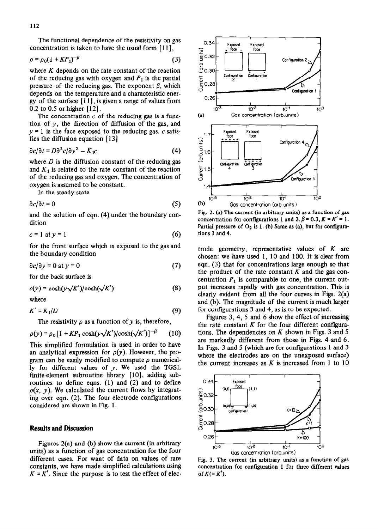The functional dependence of the resistivity on gas concentration is taken to have the usual form  $[11]$ ,

$$
\rho = \rho_0 (1 + KP_1)^{-\beta} \tag{3}
$$

where  $K$  depends on the rate constant of the reaction of the reducing gas with oxygen and  $P_1$  is the partial pressure of the reducing gas. The exponent  $\beta$ , which depends on the temperature and a characteristic energy of the surface  $[11]$ , is given a range of values from 0.2 to 0.5 or higher [ 121.

The concentration  $c$  of the reducing gas is a function of  $y$ , the direction of diffusion of the gas, and  $y = 1$  is the face exposed to the reducing gas. c satisfies the diffusion equation  $[13]$ 

$$
\frac{\partial c}{\partial t} = D\frac{\partial^2 c}{\partial y^2} - K_1 c \tag{4}
$$

where *D* is the diffusion constant of the reducing gas and  $K_1$  is related to the rate constant of the reaction of the reducing gas and oxygen. The concentration of oxygen is assumed to be constant.

In the steady state

$$
\partial c/\partial t = 0 \tag{5}
$$

and the solution of eqn. (4) under the boundary condition

$$
c = 1 \text{ at } y = 1 \tag{6}
$$

for the front surface which is exposed to the gas and the boundary condition

$$
\partial c/\partial y = 0 \text{ at } y = 0 \tag{7}
$$

for the back surface is

$$
c(y) = \cosh(y\sqrt{K'})/\cosh(\sqrt{K'})
$$
 (8)

where

$$
K' = K_1/D \tag{9}
$$

The resistivity  $\rho$  as a function of  $y$  is, therefore,

$$
\rho(y) = \rho_0 \left[ 1 + KP_1 \cosh(y\sqrt{K'})/\cosh(\sqrt{K'}) \right]^{-\beta} \qquad (10)
$$

This simplified formulation is used in order to have an analytical expression for  $\rho(y)$ . However, the program can be easily modified to compute  $\rho$  numerically for different values of  $y$ . We used the TGSL finite-element subroutine library [10], adding subroutines to define eqns. (1) and (2) and to define  $\rho(x, y)$ . We calculated the current flows by integrating over eqn. (2). The four electrode configurations considered are shown in Fig. 1.

# Results and Discussion

Figures 2(a) and (b) show the current (in arbitrary units) as a function of gas concentration for the four different cases. For want of data on values of rate constants, we have made simplified calculations using  $K = K'$ . Since the purpose is to test the effect of elec-



Fig. 2. (a) The current (in arbitrary units) as a function of gas concentration for configurations 1 and 2.  $\beta$  = 0.3, *K* = *K'* = 1. Partial pressure of  $O_2$  is 1. (b) Same as (a), but for configurations 3 and 4.

trode geometry, representative values of *K are*  chosen: we have used 1, 10 and 100. It is clear from eqn. (3) that for concentrations large enough so that the product of the rate constant  $K$  and the gas concentration  $P_1$  is comparable to one, the current output increases rapidly with gas concentration. This is clearly evident from all the four curves in Figs. 2(a) and (b). The magnitude of the current is much larger for configurations 3 and 4, as is to be expected.

Figures 3, 4, 5 and 6 show the effect of increasing the rate constant  $K$  for the four different configurations. The dependencies on *K* shown in Figs. 3 and 5 are markedly different from those in Figs. 4 and 6. In Figs. 3 and 5 (which are for configurations 1 and 3 where the electrodes are on the unexposed surface) the current increases as *K* is increased from 1 to 10



Fig. 3. The current (in arbitrary units) as a function of gas concentration for configuration 1 for three different values of  $K (= K')$ .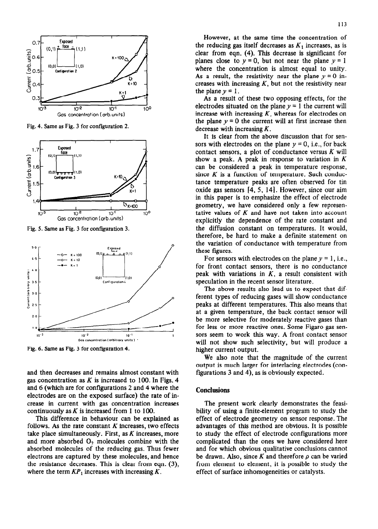

Fig. 4. **Same as Fig.** 3 **for configuration** 2.



**Fig. 5. Same as Fig.** 3 **for configuration** 3.



**Fig.** 6. Same **as Fig.** 3 **for confguration 4.** 

and then decreases and remains almost constant with gas concentration as K is increased to 100. In Figs. 4 and 6 (which are for configurations 2 and 4 where the electrodes are on the exposed surface) the rate of increase in current with gas concentration increases continuously as *K* is increased from 1 to 100.

This difference in behaviour can be explained as follows. As the rate constant *K* increases, two effects take place simultaneously. First, as *K* increases, more and more absorbed  $O<sub>2</sub>$  molecules combine with the absorbed molecules of the reducing gas. Thus fewer electrons are captured by these molecules, and hence the resistance decreases. This is clear from eqn. (3), where the term  $KP_1$  increases with increasing  $K$ .

As a result of these two opposing effects, for the electrodes situated on the plane  $y = 1$  the current will increase with increasing *K,* whereas for electrodes on the plane  $y = 0$  the current will at first increase then decrease with increasing *K.* 

It is clear from the above discussion that for sensors with electrodes on the plane  $y = 0$ , i.e., for back contact sensors, a plot of conductance versus *K* will show a peak. A peak in response to variation in *K*  can be considered a peak in temperature response, since *K* is a function of temperature. Such conductance temperature peaks are often observed for tin oxide gas sensors  $[4, 5, 14]$ . However, since our aim in this paper is to emphasize the effect of electrode geometry, we have considered only a few representative values of *K* and have not taken into account explicitly the dependence of the rate constant and the diffusion constant on temperatures. It would, therefore, be hard to make a definite statement on the variation of conductance with temperature from these figures.

For sensors with electrodes on the plane  $y = 1$ , i.e., for front contact sensors, there is no conductance peak with variations in  $K$ , a result consistent with speculation in the recent sensor literature.

The above results also lead us to expect that different types of reducing gases will show conductance peaks at different temperatures. This also means that at a given temperature, the back contact sensor will be more selective for moderately reactive gases than for less or more reactive ones. Some Figaro gas sensors seem to work this way. A front contact sensor will not show such selectivity, but will produce a higher current output.

We also note that the magnitude of the current output is much larger for interlacing electrodes (configurations 3 and 4), as is obviously expected.

#### **Conclusions**

The present work clearly demonstrates the feasibility of using a finite-element program to study the effect of electrode geometry on sensor response. The advantages of this method are obvious. It is possible to study the effect of electrode configurations more complicated than the ones we have considered here and for which obvious qualitative conclusions cannot be drawn. Also, since K and therefore  $\rho$  can be varied from element to element, it is possible to study the effect of surface inhomogeneities or catalysts.